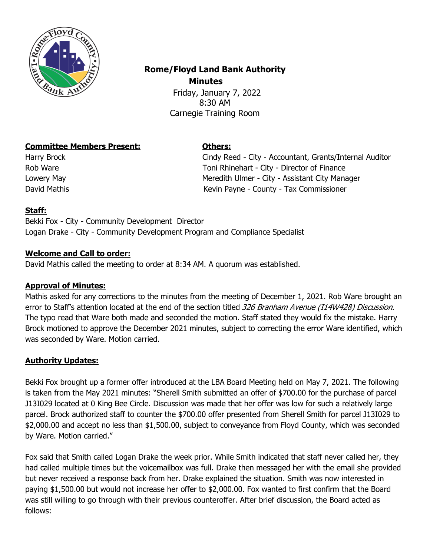

# **Rome/Floyd Land Bank Authority Minutes**

 Friday, January 7, 2022 8:30 AM Carnegie Training Room

# **Committee Members Present: Others:**

Harry Brock Cindy Reed - City - Accountant, Grants/Internal Auditor Rob Ware **Toni Rhinehart - City - Director of Finance** Lowery May **Meredith Ulmer - City - Assistant City Manager** Meredith Ulmer - City - Assistant City Manager David Mathis **National Accord County - Tax Commissioner** Kevin Payne - County - Tax Commissioner

# **Staff:**

Bekki Fox - City - Community Development Director Logan Drake - City - Community Development Program and Compliance Specialist

### **Welcome and Call to order:**

David Mathis called the meeting to order at 8:34 AM. A quorum was established.

#### **Approval of Minutes:**

Mathis asked for any corrections to the minutes from the meeting of December 1, 2021. Rob Ware brought an error to Staff's attention located at the end of the section titled 326 Branham Avenue (114W428) Discussion. The typo read that Ware both made and seconded the motion. Staff stated they would fix the mistake. Harry Brock motioned to approve the December 2021 minutes, subject to correcting the error Ware identified, which was seconded by Ware. Motion carried.

#### **Authority Updates:**

Bekki Fox brought up a former offer introduced at the LBA Board Meeting held on May 7, 2021. The following is taken from the May 2021 minutes: "Sherell Smith submitted an offer of \$700.00 for the purchase of parcel J13I029 located at 0 King Bee Circle. Discussion was made that her offer was low for such a relatively large parcel. Brock authorized staff to counter the \$700.00 offer presented from Sherell Smith for parcel J13I029 to \$2,000.00 and accept no less than \$1,500.00, subject to conveyance from Floyd County, which was seconded by Ware. Motion carried."

Fox said that Smith called Logan Drake the week prior. While Smith indicated that staff never called her, they had called multiple times but the voicemailbox was full. Drake then messaged her with the email she provided but never received a response back from her. Drake explained the situation. Smith was now interested in paying \$1,500.00 but would not increase her offer to \$2,000.00. Fox wanted to first confirm that the Board was still willing to go through with their previous counteroffer. After brief discussion, the Board acted as follows: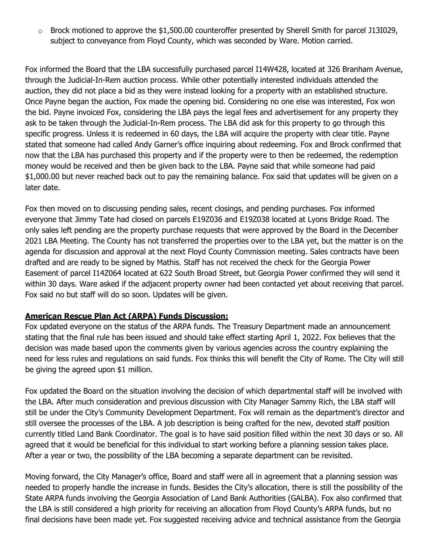$\circ$  Brock motioned to approve the \$1,500.00 counteroffer presented by Sherell Smith for parcel J13I029, subject to conveyance from Floyd County, which was seconded by Ware. Motion carried.

Fox informed the Board that the LBA successfully purchased parcel I14W428, located at 326 Branham Avenue, through the Judicial-In-Rem auction process. While other potentially interested individuals attended the auction, they did not place a bid as they were instead looking for a property with an established structure. Once Payne began the auction, Fox made the opening bid. Considering no one else was interested, Fox won the bid. Payne invoiced Fox, considering the LBA pays the legal fees and advertisement for any property they ask to be taken through the Judicial-In-Rem process. The LBA did ask for this property to go through this specific progress. Unless it is redeemed in 60 days, the LBA will acquire the property with clear title. Payne stated that someone had called Andy Garner's office inquiring about redeeming. Fox and Brock confirmed that now that the LBA has purchased this property and if the property were to then be redeemed, the redemption money would be received and then be given back to the LBA. Payne said that while someone had paid \$1,000.00 but never reached back out to pay the remaining balance. Fox said that updates will be given on a later date.

Fox then moved on to discussing pending sales, recent closings, and pending purchases. Fox informed everyone that Jimmy Tate had closed on parcels E19Z036 and E19Z038 located at Lyons Bridge Road. The only sales left pending are the property purchase requests that were approved by the Board in the December 2021 LBA Meeting. The County has not transferred the properties over to the LBA yet, but the matter is on the agenda for discussion and approval at the next Floyd County Commission meeting. Sales contracts have been drafted and are ready to be signed by Mathis. Staff has not received the check for the Georgia Power Easement of parcel I14Z064 located at 622 South Broad Street, but Georgia Power confirmed they will send it within 30 days. Ware asked if the adjacent property owner had been contacted yet about receiving that parcel. Fox said no but staff will do so soon. Updates will be given.

#### **American Rescue Plan Act (ARPA) Funds Discussion:**

Fox updated everyone on the status of the ARPA funds. The Treasury Department made an announcement stating that the final rule has been issued and should take effect starting April 1, 2022. Fox believes that the decision was made based upon the comments given by various agencies across the country explaining the need for less rules and regulations on said funds. Fox thinks this will benefit the City of Rome. The City will still be giving the agreed upon \$1 million.

Fox updated the Board on the situation involving the decision of which departmental staff will be involved with the LBA. After much consideration and previous discussion with City Manager Sammy Rich, the LBA staff will still be under the City's Community Development Department. Fox will remain as the department's director and still oversee the processes of the LBA. A job description is being crafted for the new, devoted staff position currently titled Land Bank Coordinator. The goal is to have said position filled within the next 30 days or so. All agreed that it would be beneficial for this individual to start working before a planning session takes place. After a year or two, the possibility of the LBA becoming a separate department can be revisited.

Moving forward, the City Manager's office, Board and staff were all in agreement that a planning session was needed to properly handle the increase in funds. Besides the City's allocation, there is still the possibility of the State ARPA funds involving the Georgia Association of Land Bank Authorities (GALBA). Fox also confirmed that the LBA is still considered a high priority for receiving an allocation from Floyd County's ARPA funds, but no final decisions have been made yet. Fox suggested receiving advice and technical assistance from the Georgia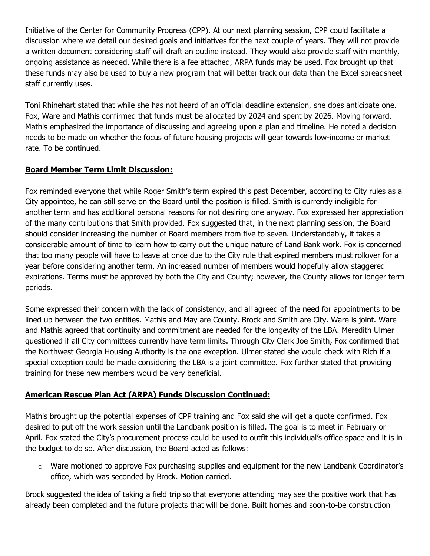Initiative of the Center for Community Progress (CPP). At our next planning session, CPP could facilitate a discussion where we detail our desired goals and initiatives for the next couple of years. They will not provide a written document considering staff will draft an outline instead. They would also provide staff with monthly, ongoing assistance as needed. While there is a fee attached, ARPA funds may be used. Fox brought up that these funds may also be used to buy a new program that will better track our data than the Excel spreadsheet staff currently uses.

Toni Rhinehart stated that while she has not heard of an official deadline extension, she does anticipate one. Fox, Ware and Mathis confirmed that funds must be allocated by 2024 and spent by 2026. Moving forward, Mathis emphasized the importance of discussing and agreeing upon a plan and timeline. He noted a decision needs to be made on whether the focus of future housing projects will gear towards low-income or market rate. To be continued.

# **Board Member Term Limit Discussion:**

Fox reminded everyone that while Roger Smith's term expired this past December, according to City rules as a City appointee, he can still serve on the Board until the position is filled. Smith is currently ineligible for another term and has additional personal reasons for not desiring one anyway. Fox expressed her appreciation of the many contributions that Smith provided. Fox suggested that, in the next planning session, the Board should consider increasing the number of Board members from five to seven. Understandably, it takes a considerable amount of time to learn how to carry out the unique nature of Land Bank work. Fox is concerned that too many people will have to leave at once due to the City rule that expired members must rollover for a year before considering another term. An increased number of members would hopefully allow staggered expirations. Terms must be approved by both the City and County; however, the County allows for longer term periods.

Some expressed their concern with the lack of consistency, and all agreed of the need for appointments to be lined up between the two entities. Mathis and May are County. Brock and Smith are City. Ware is joint. Ware and Mathis agreed that continuity and commitment are needed for the longevity of the LBA. Meredith Ulmer questioned if all City committees currently have term limits. Through City Clerk Joe Smith, Fox confirmed that the Northwest Georgia Housing Authority is the one exception. Ulmer stated she would check with Rich if a special exception could be made considering the LBA is a joint committee. Fox further stated that providing training for these new members would be very beneficial.

#### **American Rescue Plan Act (ARPA) Funds Discussion Continued:**

Mathis brought up the potential expenses of CPP training and Fox said she will get a quote confirmed. Fox desired to put off the work session until the Landbank position is filled. The goal is to meet in February or April. Fox stated the City's procurement process could be used to outfit this individual's office space and it is in the budget to do so. After discussion, the Board acted as follows:

 $\circ$  Ware motioned to approve Fox purchasing supplies and equipment for the new Landbank Coordinator's office, which was seconded by Brock. Motion carried.

Brock suggested the idea of taking a field trip so that everyone attending may see the positive work that has already been completed and the future projects that will be done. Built homes and soon-to-be construction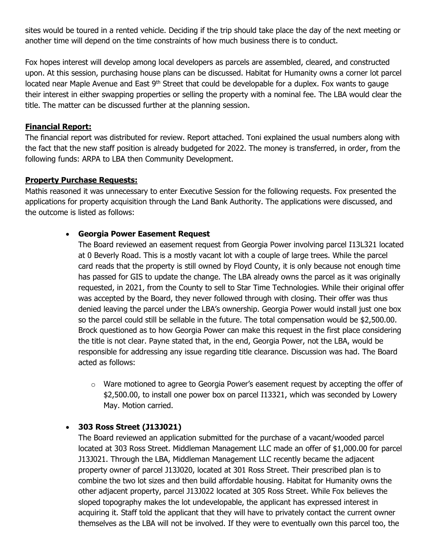sites would be toured in a rented vehicle. Deciding if the trip should take place the day of the next meeting or another time will depend on the time constraints of how much business there is to conduct.

Fox hopes interest will develop among local developers as parcels are assembled, cleared, and constructed upon. At this session, purchasing house plans can be discussed. Habitat for Humanity owns a corner lot parcel located near Maple Avenue and East 9<sup>th</sup> Street that could be developable for a duplex. Fox wants to gauge their interest in either swapping properties or selling the property with a nominal fee. The LBA would clear the title. The matter can be discussed further at the planning session.

#### **Financial Report:**

The financial report was distributed for review. Report attached. Toni explained the usual numbers along with the fact that the new staff position is already budgeted for 2022. The money is transferred, in order, from the following funds: ARPA to LBA then Community Development.

#### **Property Purchase Requests:**

Mathis reasoned it was unnecessary to enter Executive Session for the following requests. Fox presented the applications for property acquisition through the Land Bank Authority. The applications were discussed, and the outcome is listed as follows:

#### • **Georgia Power Easement Request**

The Board reviewed an easement request from Georgia Power involving parcel I13L321 located at 0 Beverly Road. This is a mostly vacant lot with a couple of large trees. While the parcel card reads that the property is still owned by Floyd County, it is only because not enough time has passed for GIS to update the change. The LBA already owns the parcel as it was originally requested, in 2021, from the County to sell to Star Time Technologies. While their original offer was accepted by the Board, they never followed through with closing. Their offer was thus denied leaving the parcel under the LBA's ownership. Georgia Power would install just one box so the parcel could still be sellable in the future. The total compensation would be \$2,500.00. Brock questioned as to how Georgia Power can make this request in the first place considering the title is not clear. Payne stated that, in the end, Georgia Power, not the LBA, would be responsible for addressing any issue regarding title clearance. Discussion was had. The Board acted as follows:

 $\circ$  Ware motioned to agree to Georgia Power's easement request by accepting the offer of \$2,500.00, to install one power box on parcel I13321, which was seconded by Lowery May. Motion carried.

#### • **303 Ross Street (J13J021)**

The Board reviewed an application submitted for the purchase of a vacant/wooded parcel located at 303 Ross Street. Middleman Management LLC made an offer of \$1,000.00 for parcel J13J021. Through the LBA, Middleman Management LLC recently became the adjacent property owner of parcel J13J020, located at 301 Ross Street. Their prescribed plan is to combine the two lot sizes and then build affordable housing. Habitat for Humanity owns the other adjacent property, parcel J13J022 located at 305 Ross Street. While Fox believes the sloped topography makes the lot undevelopable, the applicant has expressed interest in acquiring it. Staff told the applicant that they will have to privately contact the current owner themselves as the LBA will not be involved. If they were to eventually own this parcel too, the